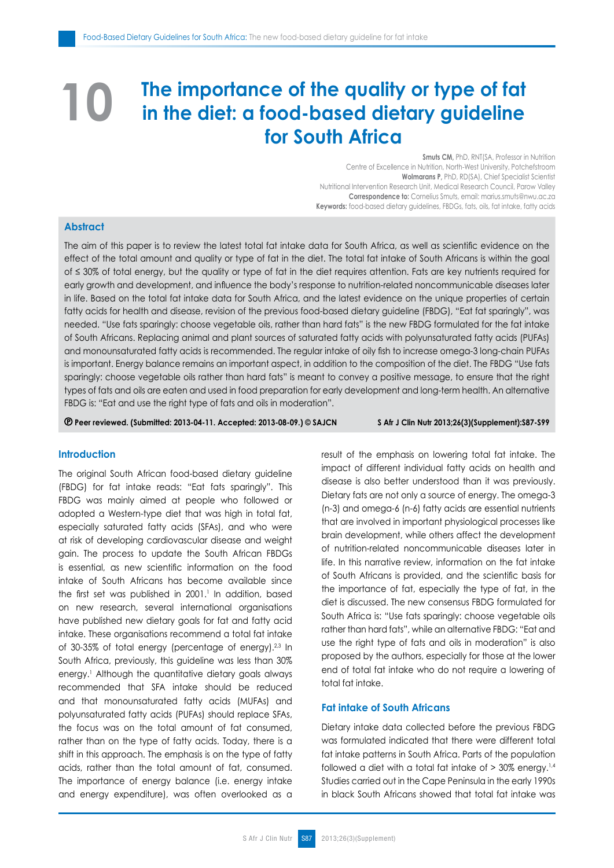# **The importance of the quality or type of fat in the diet: a food-based dietary guideline for South Africa 10**

**Smuts CM,** PhD, RNT(SA, Professor in Nutrition Centre of Excellence in Nutrition, North-West University, Potchefstroom **Wolmarans P,** PhD, RD(SA), Chief Specialist Scientist Nutritional Intervention Research Unit, Medical Research Council, Parow Valley **Correspondence to:** Cornelius Smuts, email: marius.smuts@nwu.ac.za **Keywords:** food-based dietary guidelines, FBDGs, fats, oils, fat intake, fatty acids

# **Abstract**

The aim of this paper is to review the latest total fat intake data for South Africa, as well as scientific evidence on the effect of the total amount and quality or type of fat in the diet. The total fat intake of South Africans is within the goal of ≤ 30% of total energy, but the quality or type of fat in the diet requires attention. Fats are key nutrients required for early growth and development, and influence the body's response to nutrition-related noncommunicable diseases later in life. Based on the total fat intake data for South Africa, and the latest evidence on the unique properties of certain fatty acids for health and disease, revision of the previous food-based dietary guideline (FBDG), "Eat fat sparingly", was needed. "Use fats sparingly: choose vegetable oils, rather than hard fats" is the new FBDG formulated for the fat intake of South Africans. Replacing animal and plant sources of saturated fatty acids with polyunsaturated fatty acids (PUFAs) and monounsaturated fatty acids is recommended. The regular intake of oily fish to increase omega-3 long-chain PUFAs is important. Energy balance remains an important aspect, in addition to the composition of the diet. The FBDG "Use fats sparingly: choose vegetable oils rather than hard fats" is meant to convey a positive message, to ensure that the right types of fats and oils are eaten and used in food preparation for early development and long-term health. An alternative FBDG is: "Eat and use the right type of fats and oils in moderation".

 **Peer reviewed. (Submitted: 2013-04-11. Accepted: 2013-08-09.) © SAJCN S Afr J Clin Nutr 2013;26(3)(Supplement):S87-S99**

#### **Introduction**

The original South African food-based dietary guideline (FBDG) for fat intake reads: "Eat fats sparingly". This FBDG was mainly aimed at people who followed or adopted a Western-type diet that was high in total fat, especially saturated fatty acids (SFAs), and who were at risk of developing cardiovascular disease and weight gain. The process to update the South African FBDGs is essential, as new scientific information on the food intake of South Africans has become available since the first set was published in 2001.<sup>1</sup> In addition, based on new research, several international organisations have published new dietary goals for fat and fatty acid intake. These organisations recommend a total fat intake of 30-35% of total energy (percentage of energy).<sup>2,3</sup> In South Africa, previously, this guideline was less than 30% energy.<sup>1</sup> Although the quantitative dietary goals always recommended that SFA intake should be reduced and that monounsaturated fatty acids (MUFAs) and polyunsaturated fatty acids (PUFAs) should replace SFAs, the focus was on the total amount of fat consumed, rather than on the type of fatty acids. Today, there is a shift in this approach. The emphasis is on the type of fatty acids, rather than the total amount of fat, consumed. The importance of energy balance (i.e. energy intake and energy expenditure), was often overlooked as a result of the emphasis on lowering total fat intake. The impact of different individual fatty acids on health and disease is also better understood than it was previously. Dietary fats are not only a source of energy. The omega-3 (n-3) and omega-6 (n-6) fatty acids are essential nutrients that are involved in important physiological processes like brain development, while others affect the development of nutrition-related noncommunicable diseases later in life. In this narrative review, information on the fat intake of South Africans is provided, and the scientific basis for the importance of fat, especially the type of fat, in the diet is discussed. The new consensus FBDG formulated for South Africa is: "Use fats sparingly: choose vegetable oils rather than hard fats", while an alternative FBDG: "Eat and use the right type of fats and oils in moderation" is also proposed by the authors, especially for those at the lower end of total fat intake who do not require a lowering of total fat intake.

# **Fat intake of South Africans**

Dietary intake data collected before the previous FBDG was formulated indicated that there were different total fat intake patterns in South Africa. Parts of the population followed a diet with a total fat intake of  $>$  30% energy.<sup>1,4</sup> Studies carried out in the Cape Peninsula in the early 1990s in black South Africans showed that total fat intake was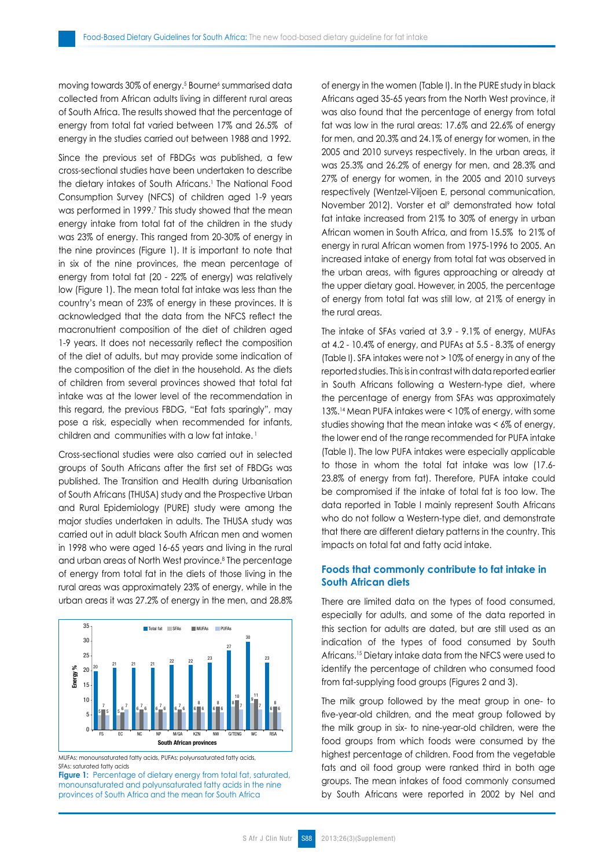moving towards 30% of energy.5 Bourne6 summarised data collected from African adults living in different rural areas of South Africa. The results showed that the percentage of energy from total fat varied between 17% and 26.5% of energy in the studies carried out between 1988 and 1992.

Since the previous set of FBDGs was published, a few cross-sectional studies have been undertaken to describe the dietary intakes of South Africans.<sup>1</sup> The National Food Consumption Survey (NFCS) of children aged 1-9 years was performed in 1999.<sup>7</sup> This study showed that the mean energy intake from total fat of the children in the study was 23% of energy. This ranged from 20-30% of energy in the nine provinces (Figure 1). It is important to note that in six of the nine provinces, the mean percentage of energy from total fat (20 - 22% of energy) was relatively low (Figure 1). The mean total fat intake was less than the country's mean of 23% of energy in these provinces. It is acknowledged that the data from the NFCS reflect the macronutrient composition of the diet of children aged 1-9 years. It does not necessarily reflect the composition of the diet of adults, but may provide some indication of the composition of the diet in the household. As the diets of children from several provinces showed that total fat intake was at the lower level of the recommendation in this regard, the previous FBDG, "Eat fats sparingly", may pose a risk, especially when recommended for infants, children and communities with a low fat intake.<sup>1</sup>

Cross-sectional studies were also carried out in selected groups of South Africans after the first set of FBDGs was published. The Transition and Health during Urbanisation of South Africans (THUSA) study and the Prospective Urban and Rural Epidemiology (PURE) study were among the major studies undertaken in adults. The THUSA study was carried out in adult black South African men and women in 1998 who were aged 16-65 years and living in the rural and urban areas of North West province.<sup>8</sup> The percentage of energy from total fat in the diets of those living in the rural areas was approximately 23% of energy, while in the urban areas it was 27.2% of energy in the men, and 28.8%



MUFAs: monounsaturated fatty acids, PUFAs: polyunsaturated fatty acids, SFAs: saturated fatty acids

**Figure 1:** Percentage of dietary energy from total fat, saturated, monounsaturated and polyunsaturated fatty acids in the nine provinces of South Africa and the mean for South Africa

of energy in the women (Table I). In the PURE study in black Africans aged 35-65 years from the North West province, it was also found that the percentage of energy from total fat was low in the rural areas: 17.6% and 22.6% of energy for men, and 20.3% and 24.1% of energy for women, in the 2005 and 2010 surveys respectively. In the urban areas, it was 25.3% and 26.2% of energy for men, and 28.3% and 27% of energy for women, in the 2005 and 2010 surveys respectively (Wentzel-Viljoen E, personal communication, November 2012). Vorster et al<sup>9</sup> demonstrated how total fat intake increased from 21% to 30% of energy in urban African women in South Africa, and from 15.5% to 21% of energy in rural African women from 1975-1996 to 2005. An increased intake of energy from total fat was observed in the urban areas, with figures approaching or already at the upper dietary goal. However, in 2005, the percentage of energy from total fat was still low, at 21% of energy in the rural areas.

The intake of SFAs varied at 3.9 - 9.1% of energy, MUFAs at 4.2 - 10.4% of energy, and PUFAs at 5.5 - 8.3% of energy (Table I). SFA intakes were not > 10% of energy in any of the reported studies. This is in contrast with data reported earlier in South Africans following a Western-type diet, where the percentage of energy from SFAs was approximately 13%.14 Mean PUFA intakes were < 10% of energy, with some studies showing that the mean intake was < 6% of energy, the lower end of the range recommended for PUFA intake (Table I). The low PUFA intakes were especially applicable to those in whom the total fat intake was low (17.6- 23.8% of energy from fat). Therefore, PUFA intake could be compromised if the intake of total fat is too low. The data reported in Table I mainly represent South Africans who do not follow a Western-type diet, and demonstrate that there are different dietary patterns in the country. This impacts on total fat and fatty acid intake.

# **Foods that commonly contribute to fat intake in South African diets**

There are limited data on the types of food consumed, especially for adults, and some of the data reported in this section for adults are dated, but are still used as an indication of the types of food consumed by South Africans.<sup>15</sup> Dietary intake data from the NFCS were used to identify the percentage of children who consumed food from fat-supplying food groups (Figures 2 and 3).

The milk group followed by the meat group in one- to five-year-old children, and the meat group followed by the milk group in six- to nine-year-old children, were the food groups from which foods were consumed by the highest percentage of children. Food from the vegetable fats and oil food group were ranked third in both age groups. The mean intakes of food commonly consumed by South Africans were reported in 2002 by Nel and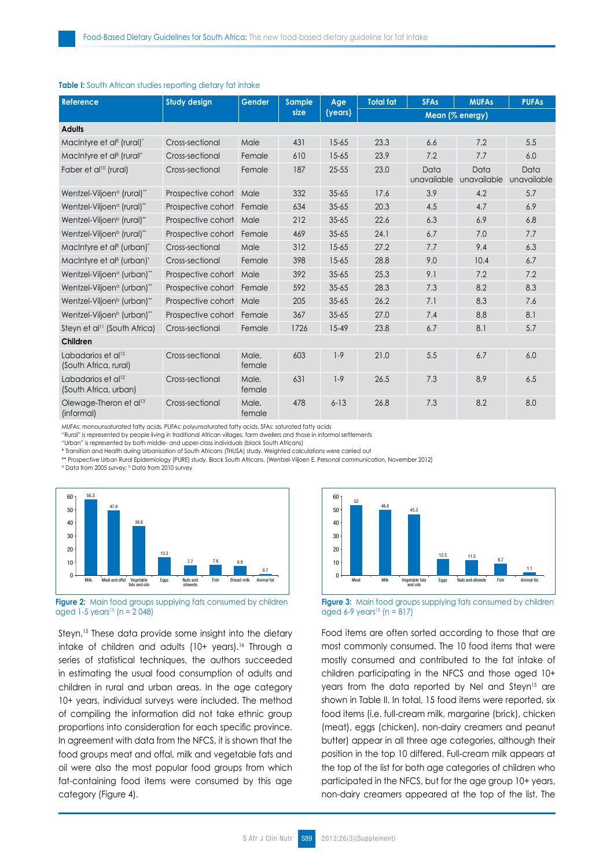| <b>Reference</b>                                        | <b>Study design</b>       | Gender          | <b>Sample</b><br>size | Age<br>(years) | <b>Total fat</b> | <b>SFAs</b>         | <b>MUFAs</b>        | <b>PUFAs</b>        |
|---------------------------------------------------------|---------------------------|-----------------|-----------------------|----------------|------------------|---------------------|---------------------|---------------------|
|                                                         |                           |                 |                       |                | Mean (% energy)  |                     |                     |                     |
| <b>Adults</b>                                           |                           |                 |                       |                |                  |                     |                     |                     |
| MacIntyre et al <sup>8</sup> (rural)*                   | Cross-sectional           | Male            | 431                   | $15 - 65$      | 23.3             | 6.6                 | 7.2                 | 5.5                 |
| MacIntyre et al <sup>8</sup> (rural) <sup>*</sup>       | Cross-sectional           | Female          | 610                   | $15 - 65$      | 23.9             | 7.2                 | 7.7                 | 6.0                 |
| Faber et al <sup>10</sup> (rural)                       | Cross-sectional           | Female          | 187                   | $25 - 55$      | 23.0             | Data<br>unavailable | Data<br>unavailable | Data<br>unavailable |
| Wentzel-Viljoen <sup>a</sup> (rural)"                   | Prospective cohort Male   |                 | 332                   | $35 - 65$      | 17.6             | 3.9                 | 4.2                 | 5.7                 |
| Wentzel-Viljoen <sup>a</sup> (rural)"                   | Prospective cohort        | Female          | 634                   | $35 - 65$      | 20.3             | 4.5                 | 4.7                 | 6.9                 |
| Wentzel-Viljoen <sup>b</sup> (rural)"                   | Prospective cohort Male   |                 | 212                   | $35 - 65$      | 22.6             | 6.3                 | 6.9                 | 6.8                 |
| Wentzel-Viljoen <sup>b</sup> (rural)"                   | Prospective cohort        | Female          | 469                   | $35 - 65$      | 24.1             | 6.7                 | 7.0                 | 7.7                 |
| MacIntyre et al <sup>8</sup> (urban)*                   | Cross-sectional           | Male            | 312                   | $15 - 65$      | 27.2             | 7.7                 | 9.4                 | 6.3                 |
| MacIntyre et al <sup>8</sup> (urban)*                   | Cross-sectional           | Female          | 398                   | $15 - 65$      | 28.8             | 9.0                 | 10.4                | 6.7                 |
| Wentzel-Viljoen <sup>a</sup> (urban)"                   | Prospective cohort        | Male            | 392                   | $35 - 65$      | 25.3             | 9.1                 | 7.2                 | 7.2                 |
| Wentzel-Viljoen <sup>a</sup> (urban)"                   | Prospective cohort        | Female          | 592                   | $35 - 65$      | 28.3             | 7.3                 | 8.2                 | 8.3                 |
| Wentzel-Viljoen <sup>b</sup> (urban)"                   | Prospective cohort        | Male            | 205                   | $35 - 65$      | 26.2             | 7.1                 | 8.3                 | 7.6                 |
| Wentzel-Viljoen <sup>b</sup> (urban)"                   | Prospective cohort Female |                 | 367                   | $35 - 65$      | 27.0             | 7.4                 | 8.8                 | 8.1                 |
| Steyn et al <sup>11</sup> (South Africa)                | Cross-sectional           | Female          | 1726                  | $15 - 49$      | 23.8             | 6.7                 | 8.1                 | 5.7                 |
| Children                                                |                           |                 |                       |                |                  |                     |                     |                     |
| Labadarios et al <sup>12</sup><br>(South Africa, rural) | Cross-sectional           | Male,<br>female | 603                   | $1-9$          | 21.0             | 5.5                 | 6.7                 | 6.0                 |
| Labadarios et al <sup>12</sup><br>(South Africa, urban) | Cross-sectional           | Male,<br>female | 631                   | $1-9$          | 26.5             | 7.3                 | 8.9                 | 6.5                 |
| Olewage-Theron et al <sup>13</sup><br>(informal)        | Cross-sectional           | Male,<br>female | 478                   | $6 - 13$       | 26.8             | 7.3                 | 8.2                 | 8.0                 |

#### **Table I:** South African studies reporting dietary fat intake

MUFAs: monounsaturated fatty acids, PUFAs: polyunsaturated fatty acids, SFAs: saturated fatty acids

"Rural" is represented by people living in traditional African villages, farm dwellers and those in informal settlements

"Urban" is represented by both middle- and upper-class individuals (black South Africans)

\* Transition and Health during Urbanisation of South Africans (THUSA) study. Weighted calculations were carried out

\*\* Prospective Urban Rural Epidemiology (PURE) study. Black South Africans. (Wentzel-Viljoen E. Personal communication, November 2012)

<sup>a</sup> Data from 2005 survey; <sup>b</sup> Data from 2010 survey



**Figure 2:** Main food groups supplying fats consumed by children aged 1-5 years<sup>15</sup> (n =  $2,048$ )

Steyn.<sup>15</sup> These data provide some insight into the dietary intake of children and adults  $(10+)$  years).<sup>16</sup> Through a series of statistical techniques, the authors succeeded in estimating the usual food consumption of adults and children in rural and urban areas. In the age category 10+ years, individual surveys were included. The method of compiling the information did not take ethnic group proportions into consideration for each specific province. In agreement with data from the NFCS, it is shown that the food groups meat and offal, milk and vegetable fats and oil were also the most popular food groups from which fat-containing food items were consumed by this age category (Figure 4).



**Figure 3:** Main food groups supplying fats consumed by children aged 6-9 years<sup>15</sup> (n = 817)

Food items are often sorted according to those that are most commonly consumed. The 10 food items that were mostly consumed and contributed to the fat intake of children participating in the NFCS and those aged 10+ years from the data reported by Nel and Steyn<sup>15</sup> are shown in Table II. In total, 15 food items were reported, six food items (i.e. full-cream milk, margarine (brick), chicken (meat), eggs (chicken), non-dairy creamers and peanut butter) appear in all three age categories, although their position in the top 10 differed. Full-cream milk appears at the top of the list for both age categories of children who participated in the NFCS, but for the age group 10+ years, non-dairy creamers appeared at the top of the list. The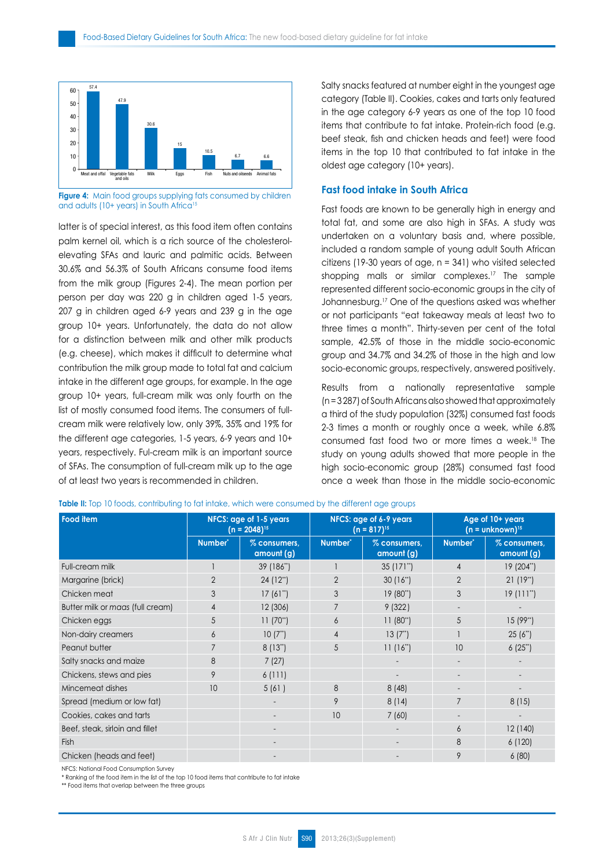

**Figure 4:** Main food groups supplying fats consumed by children and adults (10+ years) in South Africa<sup>15</sup>

latter is of special interest, as this food item often contains palm kernel oil, which is a rich source of the cholesterolelevating SFAs and lauric and palmitic acids. Between 30.6% and 56.3% of South Africans consume food items from the milk group (Figures 2-4). The mean portion per person per day was 220 g in children aged 1-5 years, 207 g in children aged 6-9 years and 239 g in the age group 10+ years. Unfortunately, the data do not allow for a distinction between milk and other milk products (e.g. cheese), which makes it difficult to determine what contribution the milk group made to total fat and calcium intake in the different age groups, for example. In the age group 10+ years, full-cream milk was only fourth on the list of mostly consumed food items. The consumers of fullcream milk were relatively low, only 39%, 35% and 19% for the different age categories, 1-5 years, 6-9 years and 10+ years, respectively. Ful-cream milk is an important source of SFAs. The consumption of full-cream milk up to the age of at least two years is recommended in children.

Salty snacks featured at number eight in the youngest age category (Table II). Cookies, cakes and tarts only featured in the age category 6-9 years as one of the top 10 food items that contribute to fat intake. Protein-rich food (e.g. beef steak, fish and chicken heads and feet) were food items in the top 10 that contributed to fat intake in the oldest age category (10+ years).

# **Fast food intake in South Africa**

Fast foods are known to be generally high in energy and total fat, and some are also high in SFAs. A study was undertaken on a voluntary basis and, where possible, included a random sample of young adult South African citizens (19-30 years of age, n = 341) who visited selected shopping malls or similar complexes.<sup>17</sup> The sample represented different socio-economic groups in the city of Johannesburg.<sup>17</sup> One of the questions asked was whether or not participants "eat takeaway meals at least two to three times a month". Thirty-seven per cent of the total sample, 42.5% of those in the middle socio-economic group and 34.7% and 34.2% of those in the high and low socio-economic groups, respectively, answered positively.

Results from a nationally representative sample (n = 3 287) of South Africans also showed that approximately a third of the study population (32%) consumed fast foods 2-3 times a month or roughly once a week, while 6.8% consumed fast food two or more times a week.<sup>18</sup> The study on young adults showed that more people in the high socio-economic group (28%) consumed fast food once a week than those in the middle socio-economic

| Food item                        | NFCS: age of 1-5 years<br>$(n = 2048)^{15}$ |                            |                     | NFCS: age of 6-9 years<br>$(n = 817)^{15}$ | Age of 10+ years<br>$(n = unknown)^{15}$ |                            |
|----------------------------------|---------------------------------------------|----------------------------|---------------------|--------------------------------------------|------------------------------------------|----------------------------|
|                                  | Number <sup>*</sup>                         | % consumers,<br>amount (g) | Number <sup>®</sup> | % consumers,<br>amount (g)                 | Number <sup>*</sup>                      | % consumers,<br>amount (g) |
| Full-cream milk                  |                                             | 39 (186")                  |                     | 35(171")                                   | $\overline{4}$                           | 19 (204**)                 |
| Margarine (brick)                | $\overline{2}$                              | 24 (12*)                   | $\overline{2}$      | 30(16")                                    | $\overline{2}$                           | 21(19")                    |
| Chicken meat                     | 3                                           | 17(61")                    | 3                   | 19 (80")                                   | 3                                        | 19(111")                   |
| Butter milk or maas (full cream) | $\overline{4}$                              | 12 (306)                   | $\overline{7}$      | 9(322)                                     | $\overline{\phantom{a}}$                 |                            |
| Chicken eggs                     | 5                                           | 11(70")                    | 6                   | 11(80")                                    | 5                                        | 15(99")                    |
| Non-dairy creamers               | 6                                           | 10(7")                     | $\overline{4}$      | 13(7")                                     |                                          | 25(6")                     |
| Peanut butter                    |                                             | 8(13")                     | 5                   | 11(16")                                    | 10                                       | 6(25")                     |
| Salty snacks and maize           | 8                                           | 7(27)                      |                     |                                            | -                                        |                            |
| Chickens, stews and pies         | 9                                           | 6(111)                     |                     |                                            |                                          |                            |
| Mincemeat dishes                 | 10                                          | 5(61)                      | 8                   | 8(48)                                      | $\overline{\phantom{0}}$                 |                            |
| Spread (medium or low fat)       |                                             | $\overline{a}$             | 9                   | 8(14)                                      | $\overline{7}$                           | 8(15)                      |
| Cookies, cakes and tarts         |                                             |                            | 10                  | 7(60)                                      | $\overline{\phantom{0}}$                 |                            |
| Beef, steak, sirloin and fillet  |                                             | $\overline{\phantom{a}}$   |                     |                                            | 6                                        | 12 (140)                   |
| Fish                             |                                             |                            |                     |                                            | 8                                        | 6(120)                     |
| Chicken (heads and feet)         |                                             |                            |                     |                                            | 9                                        | 6(80)                      |

**Table II:** Top 10 foods, contributing to fat intake, which were consumed by the different age groups

NFCS: National Food Consumption Survey

\* Ranking of the food item in the list of the top 10 food items that contribute to fat intake

\*\* Food items that overlap between the three groups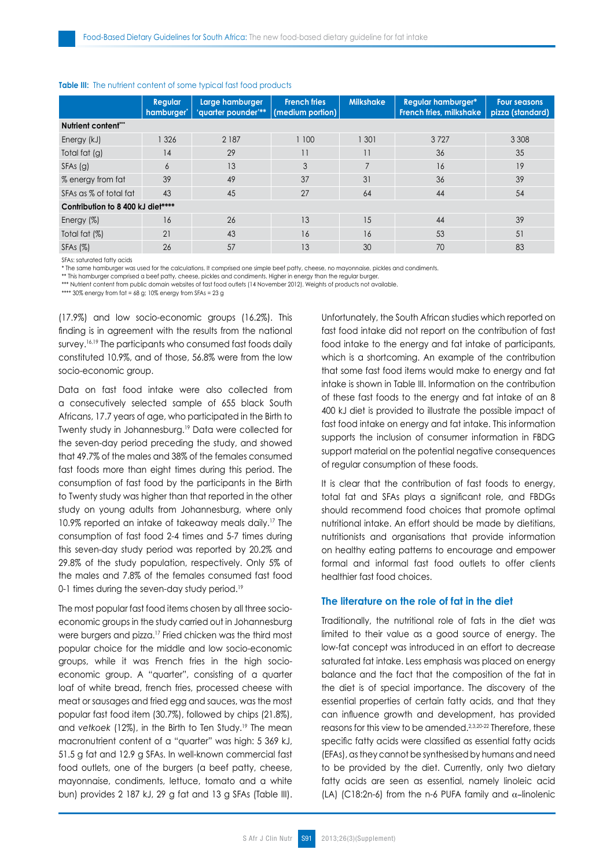|                                   | <b>Regular</b><br>hamburger' | Large hamburger<br>'quarter pounder'** | <b>French fries</b><br>(medium portion) | <b>Milkshake</b> | <b>Regular hamburger*</b><br>French fries, milkshake | <b>Four seasons</b><br>pizza (standard) |  |  |
|-----------------------------------|------------------------------|----------------------------------------|-----------------------------------------|------------------|------------------------------------------------------|-----------------------------------------|--|--|
| Nutrient content"                 |                              |                                        |                                         |                  |                                                      |                                         |  |  |
| Energy (kJ)                       | 326                          | 2 187                                  | 1 100                                   | 1 301            | 3727                                                 | 3 3 0 8                                 |  |  |
| Total fat (g)                     | 14                           | 29                                     | 11                                      | 11               | 36                                                   | 35                                      |  |  |
| $SFAs$ (g)                        | 6                            | 13                                     | 3                                       |                  | 16                                                   | 19                                      |  |  |
| % energy from fat                 | 39                           | 49                                     | 37                                      | 31               | 36                                                   | 39                                      |  |  |
| SFAs as % of total fat            | 43                           | 45                                     | 27                                      | 64               | 44                                                   | 54                                      |  |  |
| Contribution to 8 400 kJ diet**** |                              |                                        |                                         |                  |                                                      |                                         |  |  |
| Energy (%)                        | 16                           | 26                                     | 13                                      | 15               | 44                                                   | 39                                      |  |  |
| Total fat (%)                     | 21                           | 43                                     | 16                                      | 16               | 53                                                   | 51                                      |  |  |
| SFAs (%)                          | 26                           | 57                                     | 13                                      | 30               | 70                                                   | 83                                      |  |  |

#### **Table III:** The nutrient content of some typical fast food products

SFAs: saturated fatty acids

\* The same hamburger was used for the calculations. It comprised one simple beef patty, cheese, no mayonnaise, pickles and condiments.

\*\* This hamburger comprised a beef patty, cheese, pickles and condiments. Higher in energy than the regular burger

\*\*\* Nutrient content from public domain websites of fast food outlets (14 November 2012). Weights of products not available.

\*\*\*\* 30% energy from  $fat = 68$  g; 10% energy from  $SFAs = 23$  g

(17.9%) and low socio-economic groups (16.2%). This finding is in agreement with the results from the national survey.<sup>16,19</sup> The participants who consumed fast foods daily constituted 10.9%, and of those, 56.8% were from the low socio-economic group.

Data on fast food intake were also collected from a consecutively selected sample of 655 black South Africans, 17.7 years of age, who participated in the Birth to Twenty study in Johannesburg.<sup>19</sup> Data were collected for the seven-day period preceding the study, and showed that 49.7% of the males and 38% of the females consumed fast foods more than eight times during this period. The consumption of fast food by the participants in the Birth to Twenty study was higher than that reported in the other study on young adults from Johannesburg, where only 10.9% reported an intake of takeaway meals daily.17 The consumption of fast food 2-4 times and 5-7 times during this seven-day study period was reported by 20.2% and 29.8% of the study population, respectively. Only 5% of the males and 7.8% of the females consumed fast food 0-1 times during the seven-day study period.<sup>19</sup>

The most popular fast food items chosen by all three socioeconomic groups in the study carried out in Johannesburg were burgers and pizza.<sup>17</sup> Fried chicken was the third most popular choice for the middle and low socio-economic groups, while it was French fries in the high socioeconomic group. A "quarter", consisting of a quarter loaf of white bread, french fries, processed cheese with meat or sausages and fried egg and sauces, was the most popular fast food item (30.7%), followed by chips (21.8%), and *vetkoek* (12%), in the Birth to Ten Study.19 The mean macronutrient content of a "quarter" was high: 5 369 kJ, 51.5 g fat and 12.9 g SFAs. In well-known commercial fast food outlets, one of the burgers (a beef patty, cheese, mayonnaise, condiments, lettuce, tomato and a white bun) provides 2 187 kJ, 29 g fat and 13 g SFAs (Table III). Unfortunately, the South African studies which reported on fast food intake did not report on the contribution of fast food intake to the energy and fat intake of participants, which is a shortcoming. An example of the contribution that some fast food items would make to energy and fat intake is shown in Table III. Information on the contribution of these fast foods to the energy and fat intake of an 8 400 kJ diet is provided to illustrate the possible impact of fast food intake on energy and fat intake. This information supports the inclusion of consumer information in FBDG support material on the potential negative consequences of regular consumption of these foods.

It is clear that the contribution of fast foods to energy, total fat and SFAs plays a significant role, and FBDGs should recommend food choices that promote optimal nutritional intake. An effort should be made by dietitians, nutritionists and organisations that provide information on healthy eating patterns to encourage and empower formal and informal fast food outlets to offer clients healthier fast food choices.

# **The literature on the role of fat in the diet**

Traditionally, the nutritional role of fats in the diet was limited to their value as a good source of energy. The low-fat concept was introduced in an effort to decrease saturated fat intake. Less emphasis was placed on energy balance and the fact that the composition of the fat in the diet is of special importance. The discovery of the essential properties of certain fatty acids, and that they can influence growth and development, has provided reasons for this view to be amended.<sup>2,3,20-22</sup> Therefore, these specific fatty acids were classified as essential fatty acids (EFAs), as they cannot be synthesised by humans and need to be provided by the diet. Currently, only two dietary fatty acids are seen as essential, namely linoleic acid (LA) (C18:2n-6) from the n-6 PUFA family and  $\alpha$ -linolenic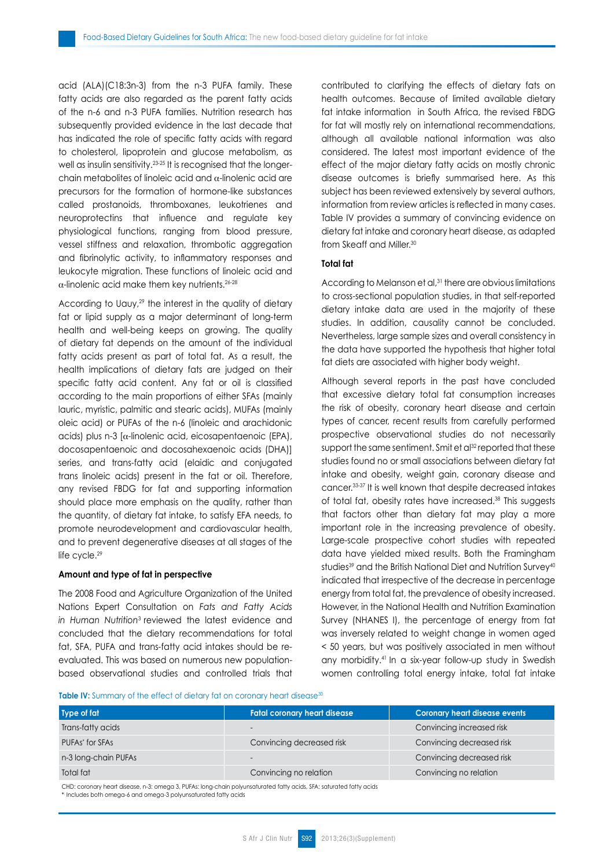acid (ALA)(C18:3n-3) from the n-3 PUFA family. These fatty acids are also regarded as the parent fatty acids of the n-6 and n-3 PUFA families. Nutrition research has subsequently provided evidence in the last decade that has indicated the role of specific fatty acids with regard to cholesterol, lipoprotein and glucose metabolism, as well as insulin sensitivity.<sup>23-25</sup> It is recognised that the longerchain metabolites of linoleic acid and  $\alpha$ -linolenic acid are precursors for the formation of hormone-like substances called prostanoids, thromboxanes, leukotrienes and neuroprotectins that influence and regulate key physiological functions, ranging from blood pressure, vessel stiffness and relaxation, thrombotic aggregation and fibrinolytic activity, to inflammatory responses and leukocyte migration. These functions of linoleic acid and  $\alpha$ -linolenic acid make them key nutrients.<sup>26-28</sup>

According to Uauy,<sup>29</sup> the interest in the quality of dietary fat or lipid supply as a major determinant of long-term health and well-being keeps on growing. The quality of dietary fat depends on the amount of the individual fatty acids present as part of total fat. As a result, the health implications of dietary fats are judged on their specific fatty acid content. Any fat or oil is classified according to the main proportions of either SFAs (mainly lauric, myristic, palmitic and stearic acids), MUFAs (mainly oleic acid) or PUFAs of the n-6 (linoleic and arachidonic acids) plus n-3 [a-linolenic acid, eicosapentaenoic (EPA), docosapentaenoic and docosahexaenoic acids (DHA)] series, and trans-fatty acid (elaidic and conjugated trans linoleic acids) present in the fat or oil. Therefore, any revised FBDG for fat and supporting information should place more emphasis on the quality, rather than the quantity, of dietary fat intake, to satisfy EFA needs, to promote neurodevelopment and cardiovascular health, and to prevent degenerative diseases at all stages of the life cycle.<sup>29</sup>

#### **Amount and type of fat in perspective**

The 2008 Food and Agriculture Organization of the United Nations Expert Consultation on *Fats and Fatty Acids in Human Nutrition*3 reviewed the latest evidence and concluded that the dietary recommendations for total fat, SFA, PUFA and trans*-*fatty acid intakes should be reevaluated. This was based on numerous new populationbased observational studies and controlled trials that contributed to clarifying the effects of dietary fats on health outcomes. Because of limited available dietary fat intake information in South Africa, the revised FBDG for fat will mostly rely on international recommendations, although all available national information was also considered. The latest most important evidence of the effect of the major dietary fatty acids on mostly chronic disease outcomes is briefly summarised here. As this subject has been reviewed extensively by several authors, information from review articles is reflected in many cases. Table IV provides a summary of convincing evidence on dietary fat intake and coronary heart disease, as adapted from Skeaff and Miller.<sup>30</sup>

# **Total fat**

According to Melanson et al,<sup>31</sup> there are obvious limitations to cross-sectional population studies, in that self-reported dietary intake data are used in the majority of these studies. In addition, causality cannot be concluded. Nevertheless, large sample sizes and overall consistency in the data have supported the hypothesis that higher total fat diets are associated with higher body weight.

Although several reports in the past have concluded that excessive dietary total fat consumption increases the risk of obesity, coronary heart disease and certain types of cancer, recent results from carefully performed prospective observational studies do not necessarily support the same sentiment. Smit et al<sup>32</sup> reported that these studies found no or small associations between dietary fat intake and obesity, weight gain, coronary disease and cancer.33-37 It is well known that despite decreased intakes of total fat, obesity rates have increased.<sup>38</sup> This suggests that factors other than dietary fat may play a more important role in the increasing prevalence of obesity. Large-scale prospective cohort studies with repeated data have yielded mixed results. Both the Framingham studies<sup>39</sup> and the British National Diet and Nutrition Survey<sup>40</sup> indicated that irrespective of the decrease in percentage energy from total fat, the prevalence of obesity increased. However, in the National Health and Nutrition Examination Survey (NHANES I), the percentage of energy from fat was inversely related to weight change in women aged < 50 years, but was positively associated in men without any morbidity.<sup>41</sup> In a six-year follow-up study in Swedish women controlling total energy intake, total fat intake

Table IV: Summary of the effect of dietary fat on coronary heart disease<sup>30</sup>

| Type of fat                 | <b>Fatal coronary heart disease</b> | <b>Coronary heart disease events</b> |
|-----------------------------|-------------------------------------|--------------------------------------|
| Trans-fatty acids           | $\overline{\phantom{0}}$            | Convincing increased risk            |
| PUFAs <sup>*</sup> for SFAs | Convincing decreased risk           | Convincing decreased risk            |
| n-3 long-chain PUFAs        | $\overline{\phantom{0}}$            | Convincing decreased risk            |
| Total fat                   | Convincing no relation              | Convincing no relation               |

CHD: coronary heart disease, n-3: omega 3, PUFAs: long-chain polyunsaturated fatty acids, SFA: saturated fatty acids \*: Includes both omega-6 and omega-3 polyunsaturated fatty acids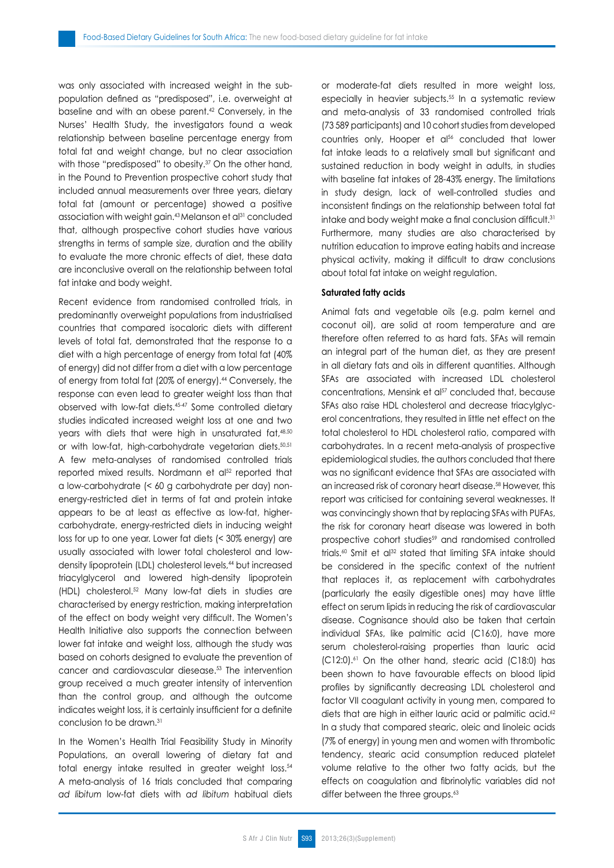was only associated with increased weight in the subpopulation defined as "predisposed", i.e. overweight at baseline and with an obese parent.<sup>42</sup> Conversely, in the Nurses' Health Study, the investigators found a weak relationship between baseline percentage energy from total fat and weight change, but no clear association with those "predisposed" to obesity.<sup>37</sup> On the other hand, in the Pound to Prevention prospective cohort study that included annual measurements over three years, dietary total fat (amount or percentage) showed a positive association with weight gain.<sup>43</sup> Melanson et al<sup>31</sup> concluded that, although prospective cohort studies have various strengths in terms of sample size, duration and the ability to evaluate the more chronic effects of diet, these data are inconclusive overall on the relationship between total fat intake and body weight.

Recent evidence from randomised controlled trials, in predominantly overweight populations from industrialised countries that compared isocaloric diets with different levels of total fat, demonstrated that the response to a diet with a high percentage of energy from total fat (40% of energy) did not differ from a diet with a low percentage of energy from total fat (20% of energy).<sup>44</sup> Conversely, the response can even lead to greater weight loss than that observed with low-fat diets.45-47 Some controlled dietary studies indicated increased weight loss at one and two years with diets that were high in unsaturated fat,<sup>48,50</sup> or with low-fat, high-carbohydrate vegetarian diets.<sup>50,51</sup> A few meta-analyses of randomised controlled trials reported mixed results. Nordmann et al<sup>52</sup> reported that a low-carbohydrate (< 60 g carbohydrate per day) nonenergy-restricted diet in terms of fat and protein intake appears to be at least as effective as low-fat, highercarbohydrate, energy-restricted diets in inducing weight loss for up to one year. Lower fat diets (< 30% energy) are usually associated with lower total cholesterol and lowdensity lipoprotein (LDL) cholesterol levels,<sup>44</sup> but increased triacylglycerol and lowered high-density lipoprotein (HDL) cholesterol.<sup>52</sup> Many low-fat diets in studies are characterised by energy restriction, making interpretation of the effect on body weight very difficult. The Women's Health Initiative also supports the connection between lower fat intake and weight loss, although the study was based on cohorts designed to evaluate the prevention of cancer and cardiovascular diesease.<sup>53</sup> The intervention group received a much greater intensity of intervention than the control group, and although the outcome indicates weight loss, it is certainly insufficient for a definite conclusion to be drawn.<sup>31</sup>

In the Women's Health Trial Feasibility Study in Minority Populations, an overall lowering of dietary fat and total energy intake resulted in greater weight loss.<sup>54</sup> A meta-analysis of 16 trials concluded that comparing *ad libitum* low-fat diets with *ad libitum* habitual diets or moderate-fat diets resulted in more weight loss, especially in heavier subjects.<sup>55</sup> In a systematic review and meta-analysis of 33 randomised controlled trials (73 589 participants) and 10 cohort studies from developed countries only, Hooper et al<sup>56</sup> concluded that lower fat intake leads to a relatively small but significant and sustained reduction in body weight in adults, in studies with baseline fat intakes of 28-43% energy. The limitations in study design, lack of well-controlled studies and inconsistent findings on the relationship between total fat intake and body weight make a final conclusion difficult.<sup>31</sup> Furthermore, many studies are also characterised by nutrition education to improve eating habits and increase physical activity, making it difficult to draw conclusions about total fat intake on weight regulation.

# **Saturated fatty acids**

Animal fats and vegetable oils (e.g. palm kernel and coconut oil), are solid at room temperature and are therefore often referred to as hard fats. SFAs will remain an integral part of the human diet, as they are present in all dietary fats and oils in different quantities. Although SFAs are associated with increased LDL cholesterol concentrations, Mensink et al<sup>57</sup> concluded that, because SFAs also raise HDL cholesterol and decrease triacylglycerol concentrations, they resulted in little net effect on the total cholesterol to HDL cholesterol ratio, compared with carbohydrates. In a recent meta-analysis of prospective epidemiological studies, the authors concluded that there was no significant evidence that SFAs are associated with an increased risk of coronary heart disease.<sup>58</sup> However, this report was criticised for containing several weaknesses. It was convincingly shown that by replacing SFAs with PUFAs, the risk for coronary heart disease was lowered in both prospective cohort studies<sup>59</sup> and randomised controlled trials.<sup>60</sup> Smit et al<sup>32</sup> stated that limiting SFA intake should be considered in the specific context of the nutrient that replaces it, as replacement with carbohydrates (particularly the easily digestible ones) may have little effect on serum lipids in reducing the risk of cardiovascular disease. Cognisance should also be taken that certain individual SFAs, like palmitic acid (C16:0), have more serum cholesterol-raising properties than lauric acid (C12:0).61 On the other hand, stearic acid (C18:0) has been shown to have favourable effects on blood lipid profiles by significantly decreasing LDL cholesterol and factor VII coagulant activity in young men, compared to diets that are high in either lauric acid or palmitic acid.<sup>62</sup> In a study that compared stearic, oleic and linoleic acids (7% of energy) in young men and women with thrombotic tendency, stearic acid consumption reduced platelet volume relative to the other two fatty acids, but the effects on coagulation and fibrinolytic variables did not differ between the three groups.<sup>63</sup>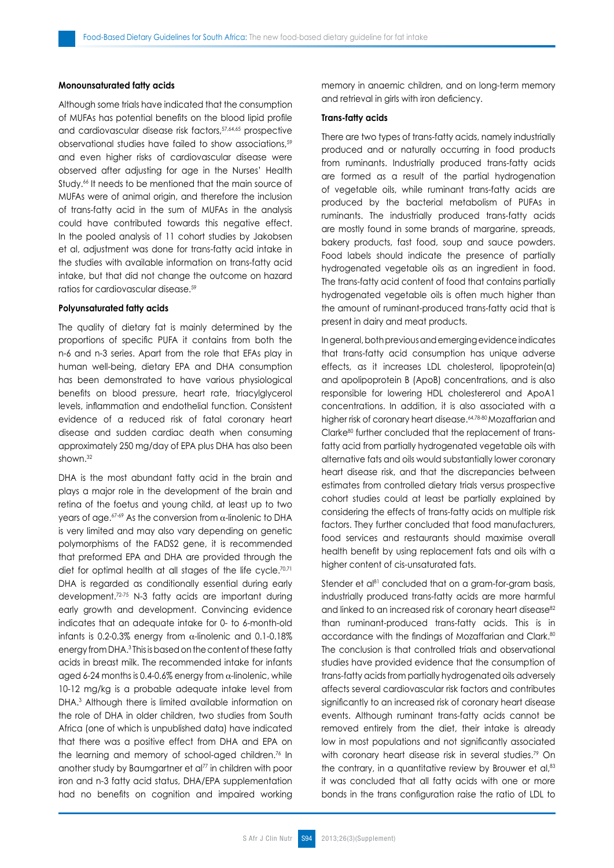## **Monounsaturated fatty acids**

Although some trials have indicated that the consumption of MUFAs has potential benefits on the blood lipid profile and cardiovascular disease risk factors, 57,64,65 prospective observational studies have failed to show associations,<sup>59</sup> and even higher risks of cardiovascular disease were observed after adjusting for age in the Nurses' Health Study.<sup>66</sup> It needs to be mentioned that the main source of MUFAs were of animal origin, and therefore the inclusion of trans-fatty acid in the sum of MUFAs in the analysis could have contributed towards this negative effect. In the pooled analysis of 11 cohort studies by Jakobsen et al, adjustment was done for trans-fatty acid intake in the studies with available information on trans-fatty acid intake, but that did not change the outcome on hazard ratios for cardiovascular disease.<sup>59</sup>

## **Polyunsaturated fatty acids**

The quality of dietary fat is mainly determined by the proportions of specific PUFA it contains from both the n-6 and n-3 series. Apart from the role that EFAs play in human well-being, dietary EPA and DHA consumption has been demonstrated to have various physiological benefits on blood pressure, heart rate, triacylglycerol levels, inflammation and endothelial function. Consistent evidence of a reduced risk of fatal coronary heart disease and sudden cardiac death when consuming approximately 250 mg/day of EPA plus DHA has also been shown.<sup>32</sup>

DHA is the most abundant fatty acid in the brain and plays a major role in the development of the brain and retina of the foetus and young child, at least up to two years of age.<sup>67-69</sup> As the conversion from  $\alpha$ -linolenic to DHA is very limited and may also vary depending on genetic polymorphisms of the FADS2 gene, it is recommended that preformed EPA and DHA are provided through the diet for optimal health at all stages of the life cycle.<sup>70,71</sup> DHA is regarded as conditionally essential during early development.72-75 N-3 fatty acids are important during early growth and development. Convincing evidence indicates that an adequate intake for 0- to 6-month-old infants is 0.2-0.3% energy from  $\alpha$ -linolenic and 0.1-0.18% energy from DHA.3 This is based on the content of these fatty acids in breast milk. The recommended intake for infants aged 6-24 months is 0.4-0.6% energy from  $\alpha$ -linolenic, while 10-12 mg/kg is a probable adequate intake level from DHA.3 Although there is limited available information on the role of DHA in older children, two studies from South Africa (one of which is unpublished data) have indicated that there was a positive effect from DHA and EPA on the learning and memory of school-aged children.<sup>76</sup> In another study by Baumgartner et al<sup>77</sup> in children with poor iron and n-3 fatty acid status, DHA/EPA supplementation had no benefits on cognition and impaired working memory in anaemic children, and on long-term memory and retrieval in girls with iron deficiency.

#### **Trans-fatty acids**

There are two types of trans-fatty acids, namely industrially produced and or naturally occurring in food products from ruminants. Industrially produced trans-fatty acids are formed as a result of the partial hydrogenation of vegetable oils, while ruminant trans-fatty acids are produced by the bacterial metabolism of PUFAs in ruminants. The industrially produced trans-fatty acids are mostly found in some brands of margarine, spreads, bakery products, fast food, soup and sauce powders. Food labels should indicate the presence of partially hydrogenated vegetable oils as an ingredient in food. The trans-fatty acid content of food that contains partially hydrogenated vegetable oils is often much higher than the amount of ruminant-produced trans-fatty acid that is present in dairy and meat products.

In general, both previous and emerging evidence indicates that trans-fatty acid consumption has unique adverse effects, as it increases LDL cholesterol, lipoprotein(a) and apolipoprotein B (ApoB) concentrations, and is also responsible for lowering HDL cholestererol and ApoA1 concentrations. In addition, it is also associated with a higher risk of coronary heart disease.<sup>64,78-80</sup> Mozaffarian and Clarke80 further concluded that the replacement of transfatty acid from partially hydrogenated vegetable oils with alternative fats and oils would substantially lower coronary heart disease risk, and that the discrepancies between estimates from controlled dietary trials versus prospective cohort studies could at least be partially explained by considering the effects of trans-fatty acids on multiple risk factors. They further concluded that food manufacturers, food services and restaurants should maximise overall health benefit by using replacement fats and oils with a higher content of cis-unsaturated fats.

Stender et al<sup>81</sup> concluded that on a gram-for-gram basis, industrially produced trans-fatty acids are more harmful and linked to an increased risk of coronary heart disease<sup>82</sup> than ruminant-produced trans-fatty acids. This is in accordance with the findings of Mozaffarian and Clark.<sup>80</sup> The conclusion is that controlled trials and observational studies have provided evidence that the consumption of trans-fatty acids from partially hydrogenated oils adversely affects several cardiovascular risk factors and contributes significantly to an increased risk of coronary heart disease events. Although ruminant trans-fatty acids cannot be removed entirely from the diet, their intake is already low in most populations and not significantly associated with coronary heart disease risk in several studies.<sup>79</sup> On the contrary, in a quantitative review by Brouwer et al,<sup>83</sup> it was concluded that all fatty acids with one or more bonds in the trans configuration raise the ratio of LDL to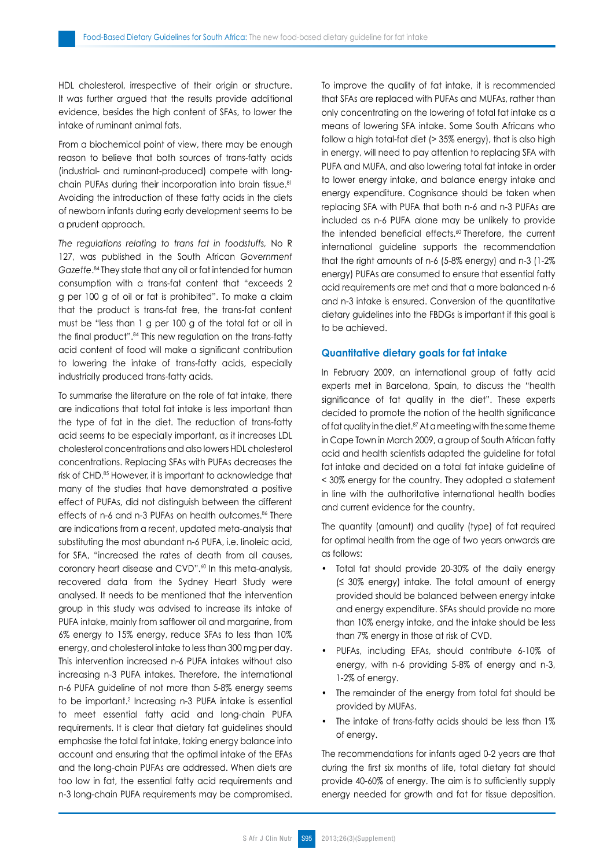HDL cholesterol, irrespective of their origin or structure. It was further argued that the results provide additional evidence, besides the high content of SFAs, to lower the intake of ruminant animal fats.

From a biochemical point of view, there may be enough reason to believe that both sources of trans-fatty acids (industrial- and ruminant-produced) compete with longchain PUFAs during their incorporation into brain tissue.<sup>81</sup> Avoiding the introduction of these fatty acids in the diets of newborn infants during early development seems to be a prudent approach.

*The regulations relating to trans fat in foodstuffs,* No R 127, was published in the South African *Government Gazette*. <sup>84</sup> They state that any oil or fat intended for human consumption with a trans-fat content that "exceeds 2 g per 100 g of oil or fat is prohibited". To make a claim that the product is trans-fat free, the trans-fat content must be "less than 1 g per 100 g of the total fat or oil in the final product".<sup>84</sup> This new regulation on the trans-fatty acid content of food will make a significant contribution to lowering the intake of trans-fatty acids, especially industrially produced trans-fatty acids.

To summarise the literature on the role of fat intake, there are indications that total fat intake is less important than the type of fat in the diet. The reduction of trans-fatty acid seems to be especially important, as it increases LDL cholesterol concentrations and also lowers HDL cholesterol concentrations. Replacing SFAs with PUFAs decreases the risk of CHD.<sup>85</sup> However, it is important to acknowledge that many of the studies that have demonstrated a positive effect of PUFAs, did not distinguish between the different effects of n-6 and n-3 PUFAs on health outcomes.<sup>86</sup> There are indications from a recent, updated meta-analysis that substituting the most abundant n-6 PUFA, i.e. linoleic acid, for SFA, "increased the rates of death from all causes, coronary heart disease and CVD".<sup>60</sup> In this meta-analysis, recovered data from the Sydney Heart Study were analysed. It needs to be mentioned that the intervention group in this study was advised to increase its intake of PUFA intake, mainly from safflower oil and margarine, from 6% energy to 15% energy, reduce SFAs to less than 10% energy, and cholesterol intake to less than 300 mg per day. This intervention increased n-6 PUFA intakes without also increasing n-3 PUFA intakes. Therefore, the international n-6 PUFA guideline of not more than 5-8% energy seems to be important.<sup>2</sup> Increasing n-3 PUFA intake is essential to meet essential fatty acid and long-chain PUFA requirements. It is clear that dietary fat guidelines should emphasise the total fat intake, taking energy balance into account and ensuring that the optimal intake of the EFAs and the long-chain PUFAs are addressed. When diets are too low in fat, the essential fatty acid requirements and n-3 long-chain PUFA requirements may be compromised. To improve the quality of fat intake, it is recommended that SFAs are replaced with PUFAs and MUFAs, rather than only concentrating on the lowering of total fat intake as a means of lowering SFA intake. Some South Africans who follow a high total-fat diet (> 35% energy), that is also high in energy, will need to pay attention to replacing SFA with PUFA and MUFA, and also lowering total fat intake in order to lower energy intake, and balance energy intake and energy expenditure. Cognisance should be taken when replacing SFA with PUFA that both n-6 and n-3 PUFAs are included as n-6 PUFA alone may be unlikely to provide the intended beneficial effects.<sup>60</sup> Therefore, the current international guideline supports the recommendation that the right amounts of n-6 (5-8% energy) and n-3 (1-2% energy) PUFAs are consumed to ensure that essential fatty acid requirements are met and that a more balanced n-6 and n-3 intake is ensured. Conversion of the quantitative dietary guidelines into the FBDGs is important if this goal is to be achieved.

#### **Quantitative dietary goals for fat intake**

In February 2009, an international group of fatty acid experts met in Barcelona, Spain, to discuss the "health significance of fat quality in the diet". These experts decided to promote the notion of the health significance of fat quality in the diet.<sup>87</sup> At a meeting with the same theme in Cape Town in March 2009, a group of South African fatty acid and health scientists adapted the guideline for total fat intake and decided on a total fat intake guideline of < 30% energy for the country. They adopted a statement in line with the authoritative international health bodies and current evidence for the country.

The quantity (amount) and quality (type) of fat required for optimal health from the age of two years onwards are as follows:

- Total fat should provide 20-30% of the daily energy (≤ 30% energy) intake. The total amount of energy provided should be balanced between energy intake and energy expenditure. SFAs should provide no more than 10% energy intake, and the intake should be less than 7% energy in those at risk of CVD.
- PUFAs, including EFAs, should contribute 6-10% of energy, with n-6 providing 5-8% of energy and n-3, 1-2% of energy.
- The remainder of the energy from total fat should be provided by MUFAs.
- The intake of trans-fatty acids should be less than 1% of energy.

The recommendations for infants aged 0-2 years are that during the first six months of life, total dietary fat should provide 40-60% of energy. The aim is to sufficiently supply energy needed for growth and fat for tissue deposition.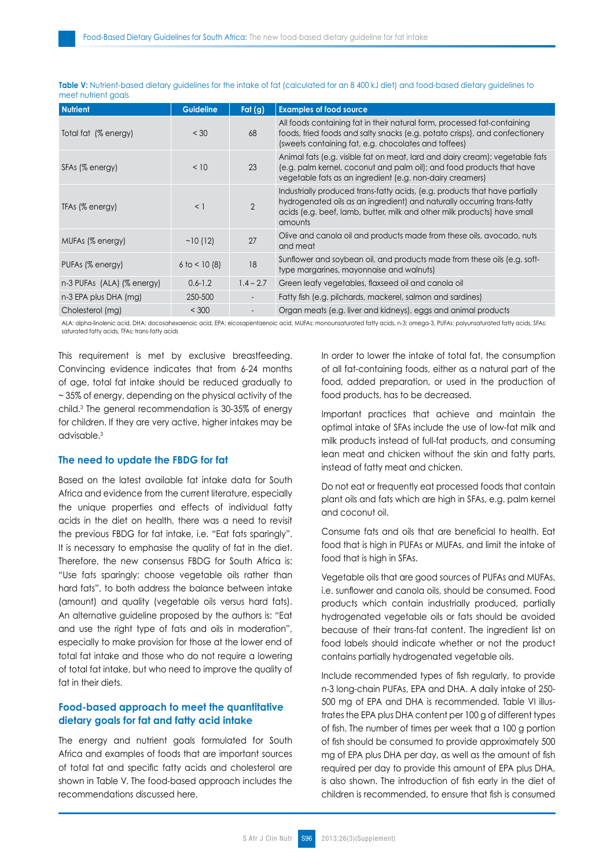| <b>Nutrient</b>                | <b>Guideline</b>  | Fat $(g)$                | <b>Examples of food source</b>                                                                                                                                                                                                                |
|--------------------------------|-------------------|--------------------------|-----------------------------------------------------------------------------------------------------------------------------------------------------------------------------------------------------------------------------------------------|
| Total fat (% energy)           | < 30              | 68                       | All foods containing fat in their natural form, processed fat-containing<br>foods, fried foods and salty snacks (e.g. potato crisps), and confectionery<br>(sweets containing fat, e.g. chocolates and toffees)                               |
| SFAs (% energy)                | < 10              | 23                       | Animal fats (e.g. visible fat on meat, lard and dairy cream); vegetable fats<br>(e.g. palm kernel, coconut and palm oil); and food products that have<br>vegetable fats as an ingredient (e.g. non-dairy creamers)                            |
| TFAs (% energy)                | $<$ 1             | $\overline{2}$           | Industrially produced trans-fatty acids, (e.g. products that have partially<br>hydrogenated oils as an ingredient) and naturally occurring trans-fatty<br>acids (e.g. beef, lamb, butter, milk and other milk products) have small<br>amounts |
| MUFAs (% energy)               | ~10(12)           | 27                       | Olive and canola oil and products made from these oils, avocado, nuts<br>and meat                                                                                                                                                             |
| PUFAs (% energy)               | $6$ to $<$ 10 (8) | 18                       | Sunflower and soybean oil, and products made from these oils (e.g. soft-<br>type margarines, mayonnaise and walnuts)                                                                                                                          |
| $n-3$ PUFAs $(ALA)$ (% energy) | $0.6 - 1.2$       | $1.4 - 2.7$              | Green leafy vegetables, flaxseed oil and canola oil                                                                                                                                                                                           |
| n-3 EPA plus DHA (mg)          | 250-500           | $\overline{\phantom{a}}$ | Fatty fish (e.g. pilchards, mackerel, salmon and sardines)                                                                                                                                                                                    |
| Cholesterol (mg)               | < 300             |                          | Organ meats (e.g. liver and kidneys), eggs and animal products                                                                                                                                                                                |

Table V: Nutrient-based dietary guidelines for the intake of fat (calculated for an 8 400 kJ diet) and food-based dietary guidelines to meet nutrient goals

ALA: alpha-linolenic acid, DHA: docosahexaenoic acid, EPA: eicosapentaenoic acid, MUFAs: monounsaturated fatty acids, n-3: omega-3, PUFAs: polyunsaturated fatty acids, SFAs: saturated fatty acids, TFAs: trans-fatty acids

This requirement is met by exclusive breastfeeding. Convincing evidence indicates that from 6-24 months of age, total fat intake should be reduced gradually to ~ 35% of energy, depending on the physical activity of the child.3 The general recommendation is 30-35% of energy for children. If they are very active, higher intakes may be advisable.3

# **The need to update the FBDG for fat**

Based on the latest available fat intake data for South Africa and evidence from the current literature, especially the unique properties and effects of individual fatty acids in the diet on health, there was a need to revisit the previous FBDG for fat intake, i.e. "Eat fats sparingly". It is necessary to emphasise the quality of fat in the diet. Therefore, the new consensus FBDG for South Africa is: "Use fats sparingly: choose vegetable oils rather than hard fats", to both address the balance between intake (amount) and quality (vegetable oils versus hard fats). An alternative guideline proposed by the authors is: "Eat and use the right type of fats and oils in moderation", especially to make provision for those at the lower end of total fat intake and those who do not require a lowering of total fat intake, but who need to improve the quality of fat in their diets.

# **Food-based approach to meet the quantitative dietary goals for fat and fatty acid intake**

The energy and nutrient goals formulated for South Africa and examples of foods that are important sources of total fat and specific fatty acids and cholesterol are shown in Table V. The food-based approach includes the recommendations discussed here.

In order to lower the intake of total fat, the consumption of all fat-containing foods, either as a natural part of the food, added preparation, or used in the production of food products, has to be decreased.

Important practices that achieve and maintain the optimal intake of SFAs include the use of low-fat milk and milk products instead of full-fat products, and consuming lean meat and chicken without the skin and fatty parts, instead of fatty meat and chicken.

Do not eat or frequently eat processed foods that contain plant oils and fats which are high in SFAs, e.g. palm kernel and coconut oil.

Consume fats and oils that are beneficial to health. Eat food that is high in PUFAs or MUFAs, and limit the intake of food that is high in SFAs.

Vegetable oils that are good sources of PUFAs and MUFAs, i.e. sunflower and canola oils, should be consumed. Food products which contain industrially produced, partially hydrogenated vegetable oils or fats should be avoided because of their trans-fat content. The ingredient list on food labels should indicate whether or not the product contains partially hydrogenated vegetable oils.

Include recommended types of fish regularly, to provide n-3 long-chain PUFAs, EPA and DHA. A daily intake of 250- 500 mg of EPA and DHA is recommended. Table VI illustrates the EPA plus DHA content per 100 g of different types of fish. The number of times per week that a 100 g portion of fish should be consumed to provide approximately 500 mg of EPA plus DHA per day, as well as the amount of fish required per day to provide this amount of EPA plus DHA, is also shown. The introduction of fish early in the diet of children is recommended, to ensure that fish is consumed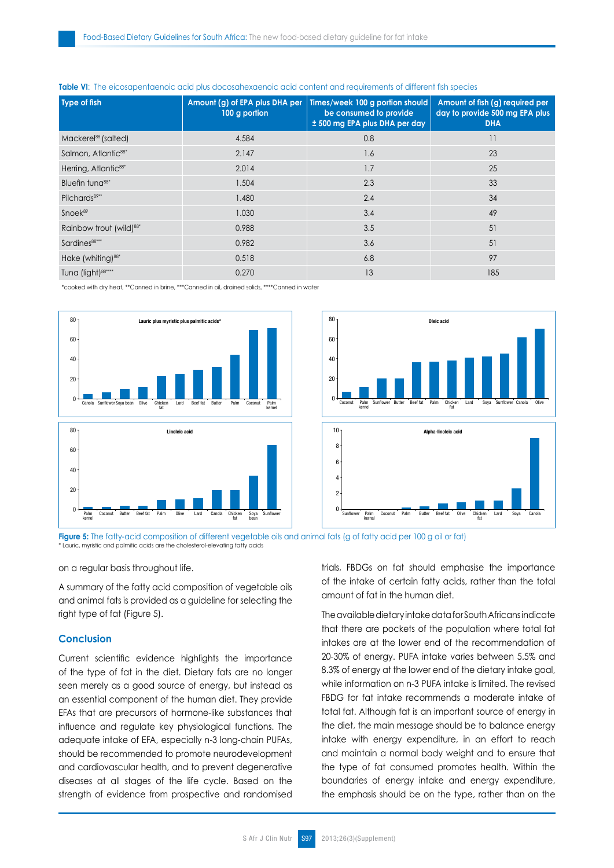| Type of fish                        | Amount (g) of EPA plus DHA per<br>100 g portion | Times/week 100 g portion should<br>be consumed to provide<br>± 500 mg EPA plus DHA per day | Amount of fish (g) required per<br>day to provide 500 mg EPA plus<br><b>DHA</b> |
|-------------------------------------|-------------------------------------------------|--------------------------------------------------------------------------------------------|---------------------------------------------------------------------------------|
| Mackerel <sup>88</sup> (salted)     | 4.584                                           | 0.8                                                                                        | 11                                                                              |
| Salmon, Atlantic <sup>88*</sup>     | 2.147                                           | 1.6                                                                                        | 23                                                                              |
| Herring, Atlantic <sup>88*</sup>    | 2.014                                           | 1.7                                                                                        | 25                                                                              |
| Bluefin tung <sup>88*</sup>         | 1.504                                           | 2.3                                                                                        | 33                                                                              |
| Pilchards <sup>89**</sup>           | 1.480                                           | 2.4                                                                                        | 34                                                                              |
| Snoek <sup>89</sup>                 | 1.030                                           | 3.4                                                                                        | 49                                                                              |
| Rainbow trout (wild) <sup>88*</sup> | 0.988                                           | 3.5                                                                                        | 51                                                                              |
| Sardines <sup>88***</sup>           | 0.982                                           | 3.6                                                                                        | 51                                                                              |
| Hake (whiting) <sup>88*</sup>       | 0.518                                           | 6.8                                                                                        | 97                                                                              |
| Tuna (light) <sup>88****</sup>      | 0.270                                           | 13                                                                                         | 185                                                                             |

#### **Table VI**: The eicosapentaenoic acid plus docosahexaenoic acid content and requirements of different fish species

\*cooked with dry heat, \*\*Canned in brine, \*\*\*Canned in oil, drained solids, \*\*\*\*Canned in water





**Figure 5:** The fatty-acid composition of different vegetable oils and animal fats (g of fatty acid per 100 g oil or fat) \* Lauric, myristic and palmitic acids are the cholesterol-elevating fatty acids

on a regular basis throughout life.

A summary of the fatty acid composition of vegetable oils and animal fats is provided as a guideline for selecting the right type of fat (Figure 5).

# **Conclusion**

Current scientific evidence highlights the importance of the type of fat in the diet. Dietary fats are no longer seen merely as a good source of energy, but instead as an essential component of the human diet. They provide EFAs that are precursors of hormone-like substances that influence and regulate key physiological functions. The adequate intake of EFA, especially n-3 long-chain PUFAs, should be recommended to promote neurodevelopment and cardiovascular health, and to prevent degenerative diseases at all stages of the life cycle. Based on the strength of evidence from prospective and randomised trials, FBDGs on fat should emphasise the importance of the intake of certain fatty acids, rather than the total amount of fat in the human diet.

The available dietary intake data for South Africans indicate that there are pockets of the population where total fat intakes are at the lower end of the recommendation of 20-30% of energy. PUFA intake varies between 5.5% and 8.3% of energy at the lower end of the dietary intake goal, while information on n-3 PUFA intake is limited. The revised FBDG for fat intake recommends a moderate intake of total fat. Although fat is an important source of energy in the diet, the main message should be to balance energy intake with energy expenditure, in an effort to reach and maintain a normal body weight and to ensure that the type of fat consumed promotes health. Within the boundaries of energy intake and energy expenditure, the emphasis should be on the type, rather than on the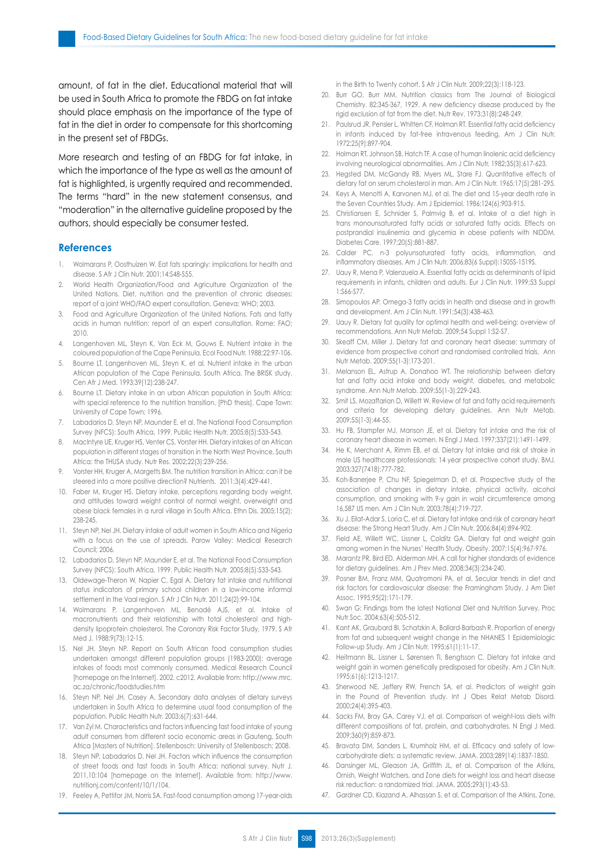amount, of fat in the diet. Educational material that will be used in South Africa to promote the FBDG on fat intake should place emphasis on the importance of the type of fat in the diet in order to compensate for this shortcoming in the present set of FBDGs.

More research and testing of an FBDG for fat intake, in which the importance of the type as well as the amount of fat is highlighted, is urgently required and recommended. The terms "hard" in the new statement consensus, and "moderation" in the alternative guideline proposed by the authors, should especially be consumer tested.

#### **References**

- 1. Wolmarans P, Oosthuizen W. Eat fats sparingly: implications for health and disease. S Afr J Clin Nutr. 2001;14:S48-S55.
- 2. World Health Organization/Food and Agriculture Organization of the United Nations. Diet, nutrition and the prevention of chronic diseases: report of a joint WHO/FAO expert consultation. Geneva: WHO; 2003.
- 3. Food and Agriculture Organization of the United Nations. Fats and fatty acids in human nutrition: report of an expert consultation. Rome: FAO; 2010.
- 4. Langenhoven ML, Steyn K, Van Eck M, Gouws E. Nutrient intake in the coloured population of the Cape Peninsula. Ecol Food Nutr. 1988;22:97-106.
- 5. Bourne LT, Langenhoven ML, Steyn K, et al. Nutrient intake in the urban African population of the Cape Peninsula, South Africa. The BRISK study. Cen Afr J Med. 1993;39(12):238-247.
- 6. Bourne LT. Dietary intake in an urban African population in South Africa: with special reference to the nutrition transition. [PhD thesis]. Cape Town: University of Cape Town; 1996.
- Labadarios D, Steyn NP, Maunder E, et al. The National Food Consumption Survey (NFCS): South Africa, 1999. Public Health Nutr. 2005;8(5):533-543.
- 8. MacIntyre UE, Kruger HS, Venter CS, Vorster HH. Dietary intakes of an African population in different stages of transition in the North West Province, South Africa: the THUSA study. Nutr Res. 2002;22(3):239-256.
- 9. Vorster HH, Kruger A, Margetts BM. The nutrition transition in Africa: can it be steered into a more positive direction? Nutrients. 2011;3(4):429-441.
- 10. Faber M, Kruger HS. Dietary intake, perceptions regarding body weight, and attitudes toward weight control of normal weight, overweight and obese black females in a rural village in South Africa. Ethn Dis. 2005;15(2); 238-245.
- 11. Steyn NP, Nel JH. Dietary intake of adult women in South Africa and Nigeria with a focus on the use of spreads. Parow Valley: Medical Research Council; 2006.
- 12. Labadarios D, Steyn NP, Maunder E, et al. The National Food Consumption Survey (NFCS): South Africa, 1999. Public Health Nutr. 2005;8(5):533-543.
- 13. Oldewage-Theron W, Napier C, Egal A. Dietary fat intake and nutritional status indicators of primary school children in a low-income informal settlement in the Vaal region. S Afr J Clin Nutr. 2011;24(2):99-104.
- 14. Wolmarans P, Langenhoven ML, Benadé AJS, et al. Intake of macronutrients and their relationship with total cholesterol and highdensity lipoprotein cholesterol. The Coronary Risk Factor Study, 1979. S Afr Med J. 1988;9(73):12-15.
- 15. Nel JH, Steyn NP. Report on South African food consumption studies undertaken amongst different population groups (1983-2000): average intakes of foods most commonly consumed. Medical Research Council [homepage on the Internet]. 2002. c2012. Available from: http://www.mrc. ac.za/chronic/foodstudies.htm
- 16. Steyn NP, Nel JH, Casey A. Secondary data analyses of dietary surveys undertaken in South Africa to determine usual food consumption of the population. Public Health Nutr. 2003;6(7):631-644.
- 17. Van Zyl M. Characteristics and factors influencing fast food intake of young adult consumers from different socio economic areas in Gauteng, South Africa [Masters of Nutrition]. Stellenbosch: University of Stellenbosch; 2008.
- 18. Steyn NP, Labadarios D, Nel JH. Factors which influence the consumption of street foods and fast foods in South Africa: national survey. Nutr J. 2011,10:104 [homepage on the Internet]. Available from: http://www. nutritionj.com/content/10/1/104.
- 19. Feeley A, Pettifor JM, Norris SA. Fast-food consumption among 17-year-olds

in the Birth to Twenty cohort. S Afr J Clin Nutr. 2009;22(3):118-123.

- 20. Burr GO, Burr MM. Nutrition classics from The Journal of Biological Chemistry. 82:345-367, 1929. A new deficiency disease produced by the rigid exclusion of fat from the diet. Nutr Rev. 1973;31(8):248-249.
- 21. Paulsrud JR, Pensler L, Whitten CF, Holman RT. Essential fatty acid deficiency in infants induced by fat-free intravenous feeding. Am J Clin Nutr. 1972;25(9):897-904.
- 22. Holman RT, Johnson SB, Hatch TF. A case of human linolenic acid deficiency involving neurological abnormalities. Am J Clin Nutr. 1982;35(3):617-623.
- Hegsted DM, McGandy RB, Myers ML, Stare FJ. Quantitative effects of dietary fat on serum cholesterol in man. Am J Clin Nutr. 1965;17(5):281-295.
- 24. Keys A, Menotti A, Karvonen MJ, et al. The diet and 15-year death rate in the Seven Countries Study. Am J Epidemiol. 1986;124(6):903-915.
- 25. Christiansen E, Schnider S, Palmvig B, et al. Intake of a diet high in trans monounsaturated fatty acids or saturated fatty acids. Effects on postprandial insulinemia and glycemia in obese patients with NIDDM. Diabetes Care. 1997;20(5):881-887.
- 26. Calder PC. n-3 polyunsaturated fatty acids, inflammation, and inflammatory diseases. Am J Clin Nutr. 2006;83(6 Suppl):1505S-1519S.
- 27. Uauy R, Mena P, Valenzuela A. Essential fatty acids as determinants of lipid requirements in infants, children and adults. Eur J Clin Nutr. 1999;53 Suppl 1:S66-S77.
- 28. Simopoulos AP. Omega-3 fatty acids in health and disease and in growth and development. Am J Clin Nutr. 1991;54(3):438-463.
- 29. Uauy R. Dietary fat quality for optimal health and well-being: overview of recommendations. Ann Nutr Metab. 2009;54 Suppl 1:S2-S7.
- 30. Skeaff CM, Miller J. Dietary fat and coronary heart disease: summary of evidence from prospective cohort and randomised controlled trials. Ann Nutr Metab. 2009;55(1-3):173-201.
- 31. Melanson EL, Astrup A, Donahoo WT. The relationship between dietary fat and fatty acid intake and body weight, diabetes, and metabolic syndrome. Ann Nutr Metab. 2009;55(1-3):229-243.
- 32. Smit LS, Mozaffarian D, Willett W. Review of fat and fatty acid requirements and criteria for developing dietary guidelines. Ann Nutr Metab. 2009;55(1-3):44-55.
- 33. Hu FB, Stampfer MJ, Manson JE, et al. Dietary fat intake and the risk of coronary heart disease in women. N Engl J Med. 1997;337(21):1491-1499.
- 34. He K, Merchant A, Rimm EB, et al. Dietary fat intake and risk of stroke in male US healthcare professionals: 14 year prospective cohort study. BMJ. 2003;327(7418):777-782.
- 35. Koh-Banerjee P, Chu NF, Spiegelman D, et al. Prospective study of the association of changes in dietary intake, physical activity, alcohol consumption, and smoking with 9-y gain in waist circumference among 16,587 US men. Am J Clin Nutr. 2003;78(4):719-727.
- 36. Xu J, Eilat-Adar S, Loria C, et al. Dietary fat intake and risk of coronary heart disease: the Strong Heart Study. Am J Clin Nutr. 2006;84(4):894-902.
- 37. Field AE, Willett WC, Lissner L, Colditz GA. Dietary fat and weight gain among women in the Nurses' Health Study. Obesity. 2007;15(4):967-976.
- 38. Marantz PR, Bird ED, Alderman MH. A call for higher standards of evidence for dietary guidelines. Am J Prev Med. 2008;34(3):234-240.
- Posner BM, Franz MM, Quatromoni PA, et al. Secular trends in diet and risk factors for cardiovascular disease: the Framingham Study. J Am Diet Assoc. 1995;95(2):171-179.
- 40. Swan G: Findings from the latest National Diet and Nutrition Survey. Proc Nutr Soc. 2004;63(4):505-512.
- 41. Kant AK, Graubard BI, Schatzkin A, Ballard-Barbash R. Proportion of energy from fat and subsequent weight change in the NHANES 1 Epidemiologic Follow-up Study. Am J Clin Nutr. 1995;61(1):11-17.
- 42. Heitmann BL, Lissner L, Sørensen TI, Bengtsson C. Dietary fat intake and weight gain in women genetically predisposed for obesity. Am J Clin Nutr. 1995;61(6):1213-1217.
- 43. Sherwood NE, Jeffery RW, French SA, et al. Predictors of weight gain in the Pound of Prevention study. Int J Obes Relat Metab Disord. 2000;24(4):395-403.
- 44. Sacks FM, Bray GA, Carey VJ, et al. Comparison of weight-loss diets with different compositions of fat, protein, and carbohydrates. N Engl J Med. 2009;360(9):859-873.
- 45. Bravata DM, Sanders L, Krumholz HM, et al. Efficacy and safety of lowcarbohydrate diets: a systematic review. JAMA. 2003;289(14):1837-1850.
- 46. Dansinger ML, Gleason JA, Griffith JL, et al. Comparison of the Atkins, Ornish, Weight Watchers, and Zone diets for weight loss and heart disease risk reduction: a randomized trial. JAMA. 2005;293(1):43-53.
- 47. Gardner CD, Kiazand A, Alhassan S, et al. Comparison of the Atkins, Zone,